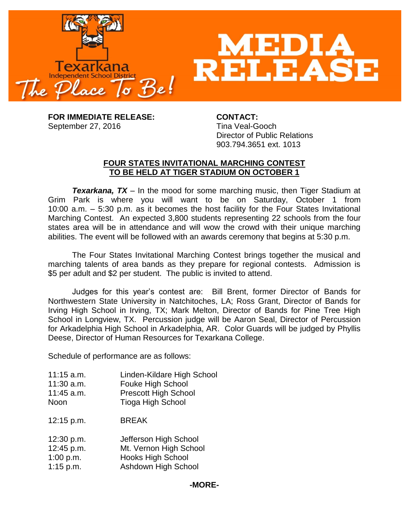

**FOR IMMEDIATE RELEASE: CONTACT:** September 27, 2016 Tina Veal-Gooch

Director of Public Relations 903.794.3651 ext. 1013

## **FOUR STATES INVITATIONAL MARCHING CONTEST TO BE HELD AT TIGER STADIUM ON OCTOBER 1**

*Texarkana, TX* – In the mood for some marching music, then Tiger Stadium at Grim Park is where you will want to be on Saturday, October 1 from 10:00 a.m. – 5:30 p.m. as it becomes the host facility for the Four States Invitational Marching Contest. An expected 3,800 students representing 22 schools from the four states area will be in attendance and will wow the crowd with their unique marching abilities. The event will be followed with an awards ceremony that begins at 5:30 p.m.

The Four States Invitational Marching Contest brings together the musical and marching talents of area bands as they prepare for regional contests. Admission is \$5 per adult and \$2 per student. The public is invited to attend.

Judges for this year's contest are: Bill Brent, former Director of Bands for Northwestern State University in Natchitoches, LA; Ross Grant, Director of Bands for Irving High School in Irving, TX; Mark Melton, Director of Bands for Pine Tree High School in Longview, TX. Percussion judge will be Aaron Seal, Director of Percussion for Arkadelphia High School in Arkadelphia, AR. Color Guards will be judged by Phyllis Deese, Director of Human Resources for Texarkana College.

Schedule of performance are as follows:

- 11:15 a.m. Linden-Kildare High School 11:30 a.m. Fouke High School
- 11:45 a.m. Prescott High School
- Noon Tioga High School
- 12:15 p.m. BREAK
- 12:30 p.m. Jefferson High School 12:45 p.m. Mt. Vernon High School
- 1:00 p.m. Hooks High School
- 1:15 p.m. Ashdown High School